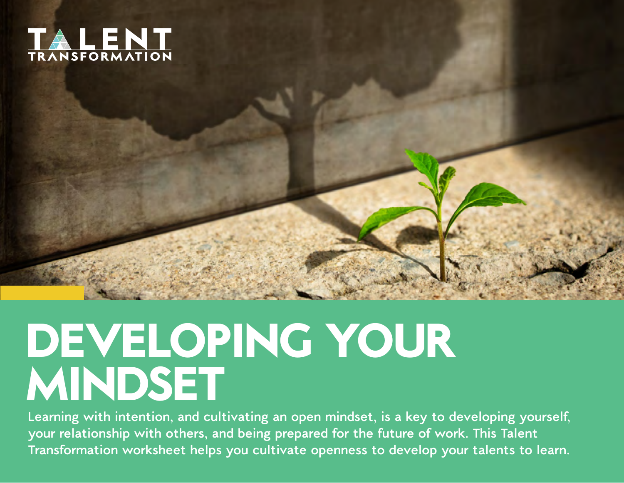

# **DEVELOPING YOUR MINDSET**

**Learning with intention, and cultivating an open mindset, is a key to developing yourself, your relationship with others, and being prepared for the future of work. This Talent Transformation worksheet helps you cultivate openness to develop your talents to learn.**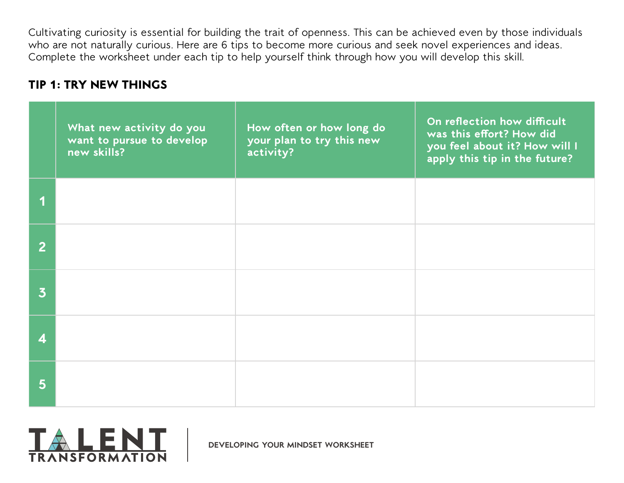Cultivating curiosity is essential for building the trait of openness. This can be achieved even by those individuals who are not naturally curious. Here are 6 tips to become more curious and seek novel experiences and ideas. Complete the worksheet under each tip to help yourself think through how you will develop this skill.

### **TIP 1: TRY NEW THINGS**

|                         | What new activity do you<br>want to pursue to develop<br>new skills? | How often or how long do<br>your plan to try this new<br>activity? | On reflection how difficult<br>was this effort? How did<br>you feel about it? How will I<br>apply this tip in the future? |
|-------------------------|----------------------------------------------------------------------|--------------------------------------------------------------------|---------------------------------------------------------------------------------------------------------------------------|
|                         |                                                                      |                                                                    |                                                                                                                           |
| $\overline{2}$          |                                                                      |                                                                    |                                                                                                                           |
| $\overline{\mathbf{3}}$ |                                                                      |                                                                    |                                                                                                                           |
| 4                       |                                                                      |                                                                    |                                                                                                                           |
| 5                       |                                                                      |                                                                    |                                                                                                                           |

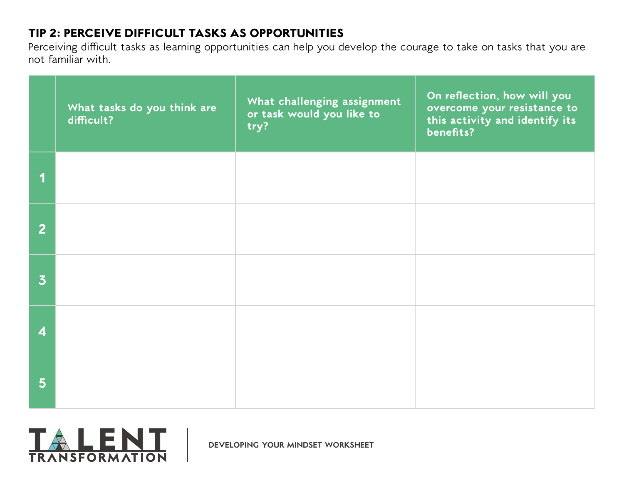## **TIP 2: PERCEIVE DIFFICULT TASKS AS OPPORTUNITIES**

Perceiving difficult tasks as learning opportunities can help you develop the courage to take on tasks that you are not familiar with.

|                         | What tasks do you think are<br>difficult? | What challenging assignment<br>or task would you like to<br>try? | On reflection, how will you<br>overcome your resistance to<br>this activity and identify its<br>benefits? |
|-------------------------|-------------------------------------------|------------------------------------------------------------------|-----------------------------------------------------------------------------------------------------------|
|                         |                                           |                                                                  |                                                                                                           |
| 2 <sup>1</sup>          |                                           |                                                                  |                                                                                                           |
| $\overline{\mathbf{3}}$ |                                           |                                                                  |                                                                                                           |
| 4                       |                                           |                                                                  |                                                                                                           |
| $5\overline{)}$         |                                           |                                                                  |                                                                                                           |

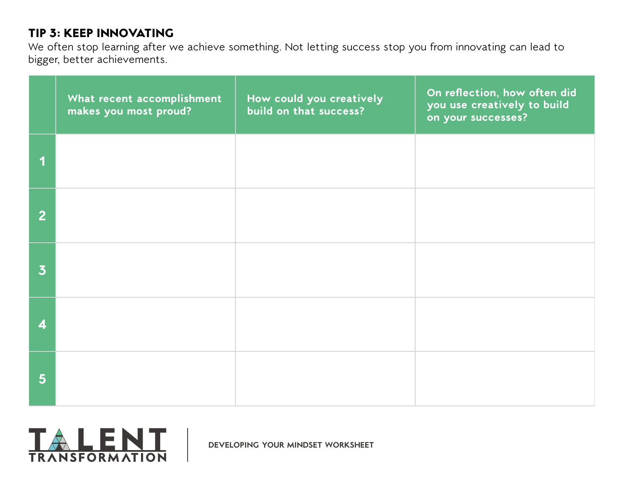#### **TIP 3: KEEP INNOVATING**

We often stop learning after we achieve something. Not letting success stop you from innovating can lead to bigger, better achievements.

|                | What recent accomplishment<br>makes you most proud? | How could you creatively<br>build on that success? | On reflection, how often did<br>you use creatively to build<br>on your successes? |
|----------------|-----------------------------------------------------|----------------------------------------------------|-----------------------------------------------------------------------------------|
|                |                                                     |                                                    |                                                                                   |
| 2 <sup>1</sup> |                                                     |                                                    |                                                                                   |
| $\overline{3}$ |                                                     |                                                    |                                                                                   |
| 4              |                                                     |                                                    |                                                                                   |
| 5              |                                                     |                                                    |                                                                                   |

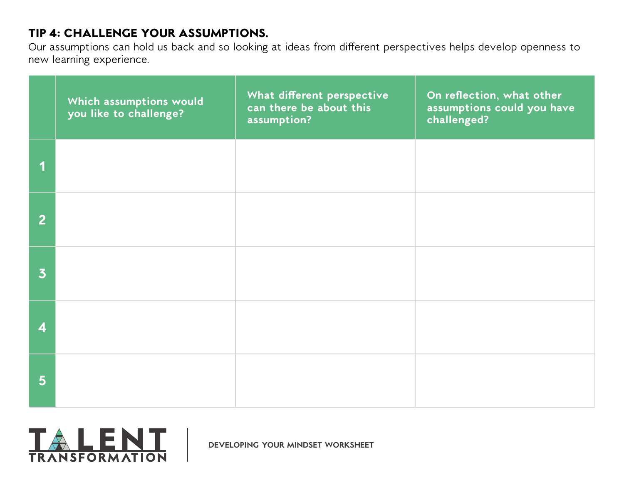### **TIP 4: CHALLENGE YOUR ASSUMPTIONS.**

Our assumptions can hold us back and so looking at ideas from different perspectives helps develop openness to new learning experience.

|                         | Which assumptions would<br>you like to challenge? | What different perspective<br>can there be about this<br>assumption? | On reflection, what other<br>assumptions could you have<br>challenged? |
|-------------------------|---------------------------------------------------|----------------------------------------------------------------------|------------------------------------------------------------------------|
|                         |                                                   |                                                                      |                                                                        |
| 2 <sup>1</sup>          |                                                   |                                                                      |                                                                        |
| $\overline{\mathbf{3}}$ |                                                   |                                                                      |                                                                        |
| 4                       |                                                   |                                                                      |                                                                        |
| $5\phantom{1}$          |                                                   |                                                                      |                                                                        |

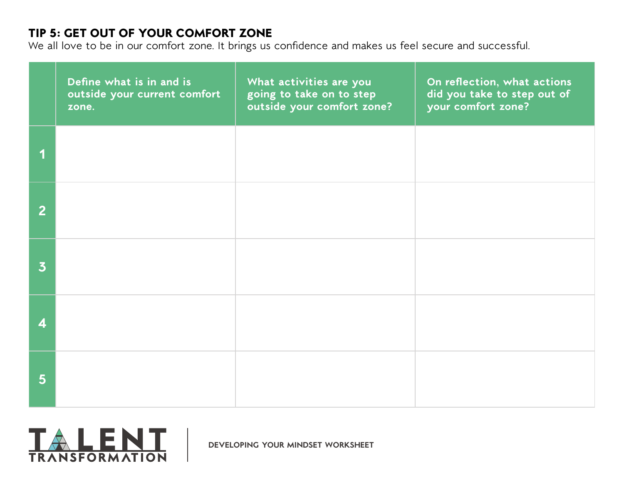#### **TIP 5: GET OUT OF YOUR COMFORT ZONE**

We all love to be in our comfort zone. It brings us confidence and makes us feel secure and successful.

|                         | Define what is in and is<br>outside your current comfort<br>zone. | What activities are you<br>going to take on to step<br>outside your comfort zone? | On reflection, what actions<br>did you take to step out of<br>your comfort zone? |
|-------------------------|-------------------------------------------------------------------|-----------------------------------------------------------------------------------|----------------------------------------------------------------------------------|
|                         |                                                                   |                                                                                   |                                                                                  |
| $\overline{2}$          |                                                                   |                                                                                   |                                                                                  |
| $\overline{\mathbf{3}}$ |                                                                   |                                                                                   |                                                                                  |
|                         |                                                                   |                                                                                   |                                                                                  |
| 5                       |                                                                   |                                                                                   |                                                                                  |

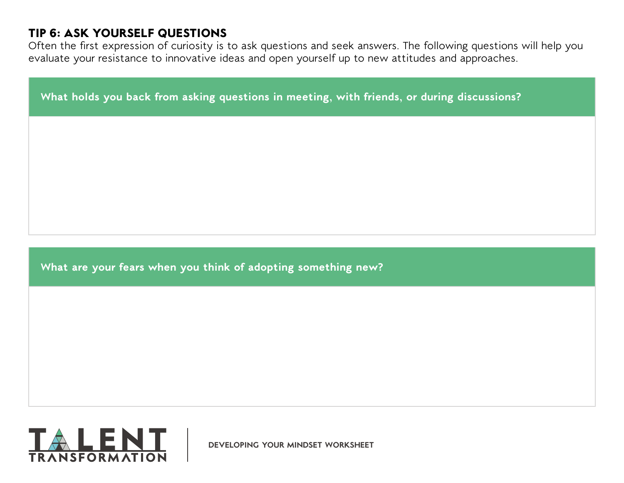#### **TIP 6: ASK YOURSELF QUESTIONS**

Often the first expression of curiosity is to ask questions and seek answers. The following questions will help you evaluate your resistance to innovative ideas and open yourself up to new attitudes and approaches.

**What holds you back from asking questions in meeting, with friends, or during discussions?**

#### **What are your fears when you think of adopting something new?**

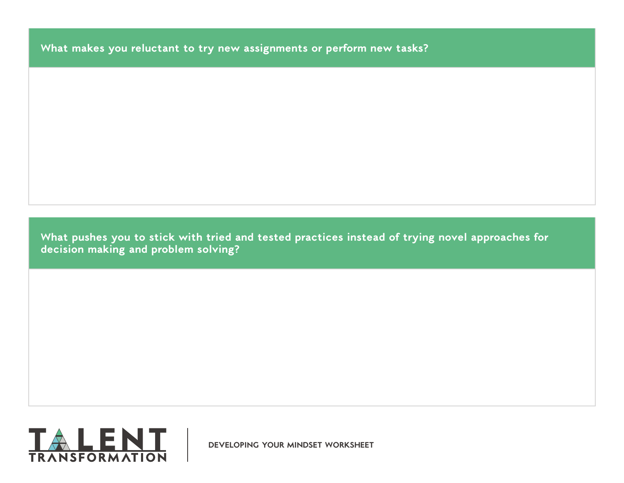**What makes you reluctant to try new assignments or perform new tasks?**

**What pushes you to stick with tried and tested practices instead of trying novel approaches for decision making and problem solving?**